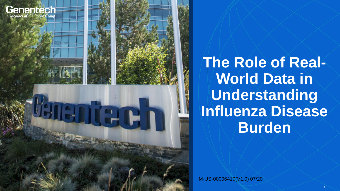



**CCT** 

**The Role of Real-World Data in Understanding Influenza Disease Burden**

M-US-00006410(V1.0) 07/20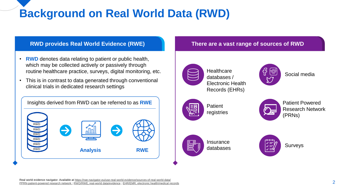# **Background on Real World Data (RWD)**

## **RWD provides Real World Evidence (RWE)**

- **RWD** denotes data relating to patient or public health, which may be collected actively or passively through routine healthcare practice, surveys, digital monitoring, etc.
- This is in contrast to data generated through conventional clinical trials in dedicated research settings



#### **There are a vast range of sources of RWD**



**Healthcare** databases / Electronic Health Records (EHRs)



Social media



**Patient** registries



Patient Powered Research Network (PRNs)



Insurance

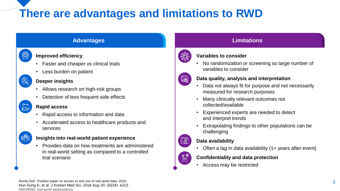# **There are advantages and limitations to RWD**

### **Advantages Advantages Heading Limitations Limitations**

#### **Improved efficiency**

- Faster and cheaper vs clinical trials
- Less burden on patient

 $\mathbb{E}^2$ 

(@)<br>ନା

#### **Deeper insights**

- Allows research on high-risk groups
- Detection of less frequent side effects

#### **Rapid access**

- Rapid access to information and data
- Accelerated access to healthcare products and services



#### **Insights into real-world patient experience**

• Provides data on how treatments are administered in real-world setting as compared to a controlled trial scenario



### **Variables to consider**

• No randomization or screening so large number of variables to consider

## (國

 $\sqrt{a}$ 

 $\mathbb{E}^{\circ}$ 

#### **Data quality, analysis and interpretation**

- Data not always fit for purpose and not necessarily measured for research purposes
- Many clinically relevant outcomes not collected/available
- Experienced experts are needed to detect and interpret trends
- Extrapolating findings to other populations can be challenging

#### **Data availability**

• Often a lag in data availability (1+ years after event)

#### **Confidentiality and data protection**

• Access may be restricted

Roche DoF: Position paper on access to and use of real world data; 2019. Hun-Sung K, et al. J Korean Med Sci. 2018 Aug 20; 33(34): e213 [RWD/RWE, real-world data/evidence](https://www.khanacademy.org/science/health-and-medicine/infectious-diseases)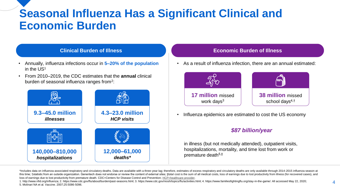# **Seasonal Influenza Has a Significant Clinical and Economic Burden**

- Annually, inc.<br>in the US<sup>1</sup>
- **Burden of**  From 2010–2019, the CDC estimates that the **annual** clinical Illem 2010, 2010, and ODO commated that the<br>burden of seasonal influenza ranges from<sup>2</sup>:



#### **Clinical Burden of Illness Economic Burden of Illness**

• Annually, influenza infections occur in **5–20% of the population** • As a result of influenza infection, there are an annual estimated:



• Influenza epidemics are estimated to cost the US economy

#### *\$87 billion/year*

in illness (but not medically attended), outpatient visits, hospitalizations, mortality, and time lost from work or premature death5,‡

\*Includes data on influenza-associated respiratory and circulatory deaths. Data are available with a three-year lag; therefore, estimates of excess respiratory and circulatory deaths are only available through 2014-2015 in this time: +statistic from an outside organization. Genentech does not endorse or review the content of external sites: total cost is the sum of all medical costs, loss of earnings due to lost productivity from illness (fo loss of earnings due to lost productivity from premature death. CDC=Centers for Disease Control and Prevention; [HCP=healthcare provider](https://www.khanacademy.org/science/health-and-medicine/infectious-diseases).

1. http://www.nfid.org/influenza; 2. https://www.cdc.gov/flu/about/burden/past-seasons.html; 3. https://www.cdc.gov/niosh/topics/flu/activities.html; 4. https://www.familiesfightingflu.org/stay-in-the-qame/. All accessed M 5. Molinari NA et al. Vaccine. 2007;25:5086-5096.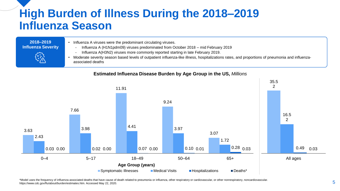# **High Burden of Illness During the 2018–2019 Influenza Season**

#### **2018–2019 Influenza Severity**

- Influenza A viruses were the predominant circulating viruses.
	- Influenza A (H1N1pdm09) viruses predominated from October 2018 mid February 2019
	- Influenza A(H3N2) viruses more commonly reported starting in late February 2019.
- Moderate severity season based levels of outpatient influenza-like illness, hospitalizations rates, and proportions of pneumonia and influenzaassociated deaths

#### **Estimated Influenza Disease Burden by Age Group in the US,** *Millions*



\*Model uses the frequency of influenza-associated deaths that have cause of death related to pneumonia or influenza, other respiratory or cardiovascular, or other nonrespiratory, noncardiovascular. https://www.cdc.gov/flu/about/burden/estimates.htm. Accessed May 22, 2020. Section and predictional or initiatize, other respiratory or candividence indirespiratory, noncandovascular. Section 4.5 Section 4.5 Section 4.5 Se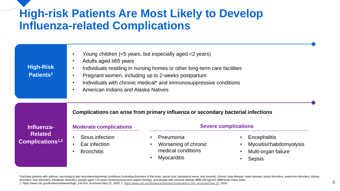# **High-risk Patients Are Most Likely to Develop Influenza-related Complications**

| <b>High-Risk</b><br>Patients <sup>1</sup>                    | Young children (<5 years, but especially aged <2 years)<br>$\bullet$<br>Adults aged ≥65 years<br>$\bullet$<br>Individuals residing in nursing homes or other long-term care facilities<br>$\bullet$<br>Pregnant women, including up to 2-weeks postpartum<br>$\bullet$<br>Individuals with chronic medical* and immunosuppressive conditions<br>$\bullet$<br>American Indians and Alaska Natives<br>$\bullet$ |                                                                                                                 |                                                                                                                      |
|--------------------------------------------------------------|---------------------------------------------------------------------------------------------------------------------------------------------------------------------------------------------------------------------------------------------------------------------------------------------------------------------------------------------------------------------------------------------------------------|-----------------------------------------------------------------------------------------------------------------|----------------------------------------------------------------------------------------------------------------------|
| Influenza-<br><b>Related</b><br>Complications <sup>1,2</sup> | <b>Moderate complications</b>                                                                                                                                                                                                                                                                                                                                                                                 | Complications can arise from primary influenza or secondary bacterial infections<br><b>Severe complications</b> |                                                                                                                      |
|                                                              | Sinus infection<br>Ear infection<br>$\bullet$<br><b>Bronchitis</b><br>$\bullet$                                                                                                                                                                                                                                                                                                                               | Pneumonia<br>Worsening of chronic<br>medical conditions<br><b>Myocarditis</b>                                   | Encephalitis<br>$\bullet$<br>Myositis/rhabdomyolysis<br>$\bullet$<br>Multi-organ failure<br>$\bullet$<br>Sepsis<br>٠ |

\*Includes patients with asthma, neurological and neurodevelopmental conditions (including disorders of the brain, spinal cord, peripheral nerve, and muscle), chronic lung disease, heart disease, blood disorders, endocrine disorders, liver disorders, metabolic disorders, people aged <19 years receiving long-term aspirin therapy, and people with extreme obesity (BMI ≥40 kg/m2). BMI=body mass index.  $\sim$  1. https://www.cdc.gov/flu/about/disease/high\_risk.htm. Accessed May 22, 2020; 2. [https://www.cdc.gov/flu/about/disease/complications.htm. Accessed May 22,](https://www.cdc.gov/flu/about/disease/complications.htm.%20Accessed%20May%2022) 2020. 6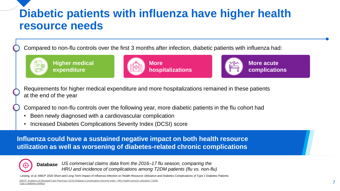# **Diabetic patients with influenza have higher health resource needs**

Compared to non-flu controls over the first 3 months after infection, diabetic patients with influenza had:



**Higher medical expenditure**





Requirements for higher medical expenditure and more hospitalizations remained in these patients at the end of the year

Compared to non-flu controls over the following year, more diabetic patients in the flu cohort had

- Been newly diagnosed with a cardiovascular complication
- Increased Diabetes Complications Severity Index (DCSI) score

**Influenza could have a sustained negative impact on both health resource utilization as well as worsening of diabetes-related chronic complications**



**Database** *US commercial claims data from the 2016–17 flu season, comparing the HRU and incidence of complications among T2DM patients (flu vs. non-flu)*

al. AMCP 2020 Short-and Long-Term Impact of influenza Infection on Health Resource Utilization and Diabetes Complications of Type 2 Diabetes Patients

AMCP- [Academy of Managed Care Pharmacy; DCSI-Diabetes Complications Severity Index; HRU-health resource utilization; T2DM-](https://www.khanacademy.org/science/health-and-medicine/infectious-diseases)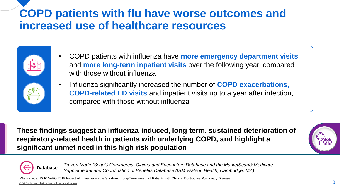# **COPD patients with flu have worse outcomes and increased use of healthcare resources**

- COPD patients with influenza have **more emergency department visits**  and **more long-term inpatient visits** over the following year, compared with those without influenza
- Influenza significantly increased the number of **COPD exacerbations, COPD-related ED visits** and inpatient visits up to a year after infection, compared with those without influenza

**These findings suggest an influenza-induced, long-term, sustained deterioration of respiratory-related health in patients with underlying COPD, and highlight a significant unmet need in this high-risk population** 



**Database** *Truven MarketScan® Commercial Claims and Encounters Database and the MarketScan® Medicare Supplemental and Coordination of Benefits Database (IBM Watson Health, Cambridge, MA)*

[COPD-chronic obstructive pulmonary disease](https://www.khanacademy.org/science/health-and-medicine/infectious-diseases) Wallick, et al. ISIRV-AVG 2018 Impact of Influenza on the Short-and Long-Term Health of Patients with Chronic Obstructive Pulmonary Disease